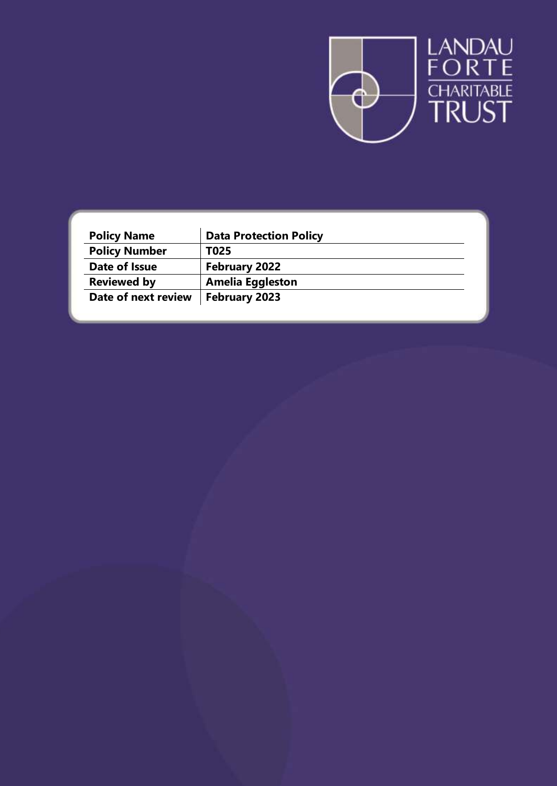

| <b>Policy Name</b>   | <b>Data Protection Policy</b> |
|----------------------|-------------------------------|
| <b>Policy Number</b> | T025                          |
| Date of Issue        | <b>February 2022</b>          |
| <b>Reviewed by</b>   | <b>Amelia Eggleston</b>       |
| Date of next review  | <b>February 2023</b>          |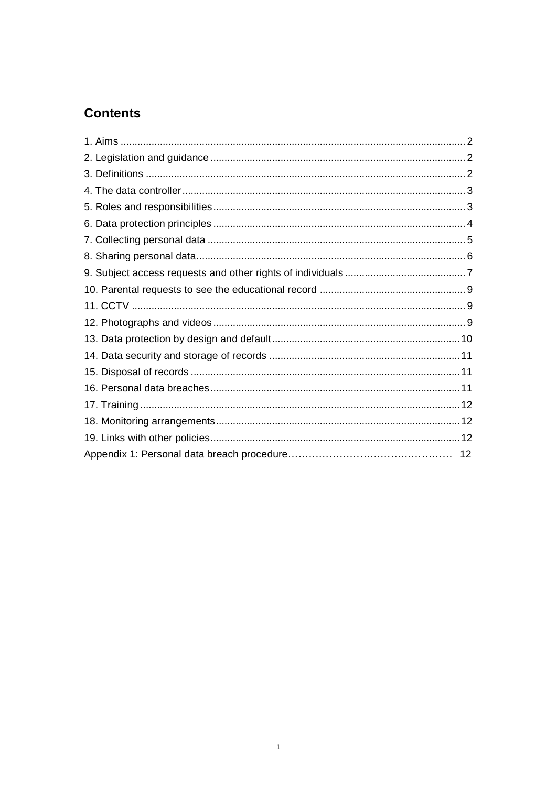# **Contents**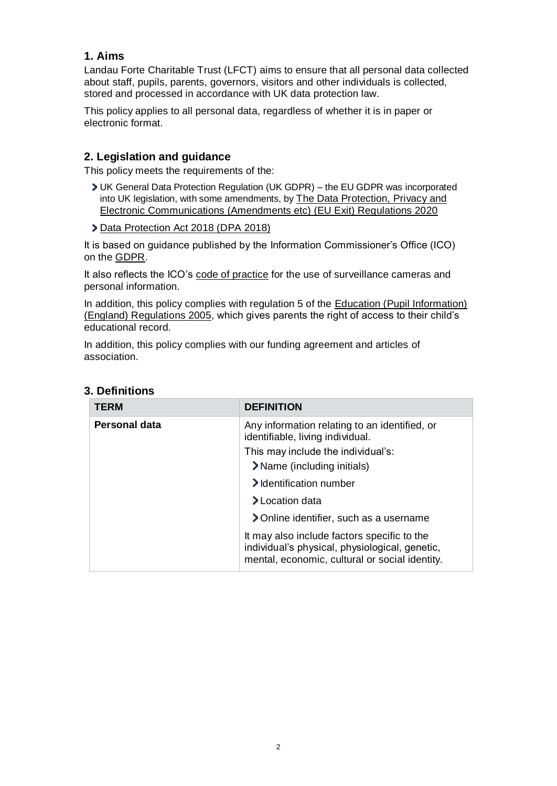### <span id="page-2-0"></span>**1. Aims**

Landau Forte Charitable Trust (LFCT) aims to ensure that all personal data collected about staff, pupils, parents, governors, visitors and other individuals is collected, stored and processed in accordance with UK data protection law.

This policy applies to all personal data, regardless of whether it is in paper or electronic format.

#### <span id="page-2-1"></span>**2. Legislation and guidance**

This policy meets the requirements of the:

- UK General Data Protection Regulation (UK GDPR) the EU GDPR was incorporated into UK legislation, with some amendments, by [The Data Protection, Privacy and](https://www.legislation.gov.uk/uksi/2020/1586/made)  [Electronic Communications \(Amendments etc\) \(EU Exit\) Regulations 2020](https://www.legislation.gov.uk/uksi/2020/1586/made)
- [Data Protection Act 2018 \(DPA 2018\)](http://www.legislation.gov.uk/ukpga/2018/12/contents/enacted)

It is based on guidance published by the Information Commissioner's Office (ICO) on the [GDPR.](https://ico.org.uk/for-organisations/guide-to-the-general-data-protection-regulation-gdpr/)

It also reflects the ICO's [code of practice](https://ico.org.uk/media/for-organisations/documents/1542/cctv-code-of-practice.pdf) for the use of surveillance cameras and personal information.

In addition, this policy complies with regulation 5 of the [Education \(Pupil Information\)](http://www.legislation.gov.uk/uksi/2005/1437/regulation/5/made)  [\(England\) Regulations 2005,](http://www.legislation.gov.uk/uksi/2005/1437/regulation/5/made) which gives parents the right of access to their child's educational record.

In addition, this policy complies with our funding agreement and articles of association.

| <b>TERM</b>          | <b>DEFINITION</b>                                                                                                                               |
|----------------------|-------------------------------------------------------------------------------------------------------------------------------------------------|
| <b>Personal data</b> | Any information relating to an identified, or<br>identifiable, living individual.                                                               |
|                      | This may include the individual's:                                                                                                              |
|                      | > Name (including initials)                                                                                                                     |
|                      | > Identification number                                                                                                                         |
|                      | > Location data                                                                                                                                 |
|                      | > Online identifier, such as a username                                                                                                         |
|                      | It may also include factors specific to the<br>individual's physical, physiological, genetic,<br>mental, economic, cultural or social identity. |

### <span id="page-2-2"></span>**3. Definitions**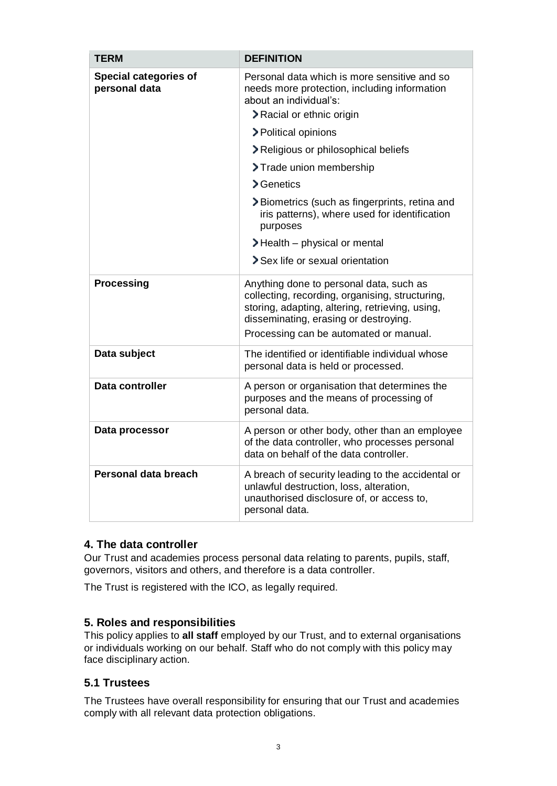| <b>TERM</b>                            | <b>DEFINITION</b>                                                                                                                                                                                                                |
|----------------------------------------|----------------------------------------------------------------------------------------------------------------------------------------------------------------------------------------------------------------------------------|
| Special categories of<br>personal data | Personal data which is more sensitive and so<br>needs more protection, including information<br>about an individual's:<br>> Racial or ethnic origin                                                                              |
|                                        | > Political opinions                                                                                                                                                                                                             |
|                                        | > Religious or philosophical beliefs                                                                                                                                                                                             |
|                                        | > Trade union membership                                                                                                                                                                                                         |
|                                        | > Genetics                                                                                                                                                                                                                       |
|                                        | >Biometrics (such as fingerprints, retina and<br>iris patterns), where used for identification<br>purposes                                                                                                                       |
|                                        | $\blacktriangleright$ Health – physical or mental                                                                                                                                                                                |
|                                        | > Sex life or sexual orientation                                                                                                                                                                                                 |
| <b>Processing</b>                      | Anything done to personal data, such as<br>collecting, recording, organising, structuring,<br>storing, adapting, altering, retrieving, using,<br>disseminating, erasing or destroying.<br>Processing can be automated or manual. |
| Data subject                           | The identified or identifiable individual whose<br>personal data is held or processed.                                                                                                                                           |
| Data controller                        | A person or organisation that determines the<br>purposes and the means of processing of<br>personal data.                                                                                                                        |
| Data processor                         | A person or other body, other than an employee<br>of the data controller, who processes personal<br>data on behalf of the data controller.                                                                                       |
| <b>Personal data breach</b>            | A breach of security leading to the accidental or<br>unlawful destruction, loss, alteration,<br>unauthorised disclosure of, or access to,<br>personal data.                                                                      |

### <span id="page-3-0"></span>**4. The data controller**

Our Trust and academies process personal data relating to parents, pupils, staff, governors, visitors and others, and therefore is a data controller.

The Trust is registered with the ICO, as legally required.

### <span id="page-3-1"></span>**5. Roles and responsibilities**

This policy applies to **all staff** employed by our Trust, and to external organisations or individuals working on our behalf. Staff who do not comply with this policy may face disciplinary action.

### **5.1 Trustees**

The Trustees have overall responsibility for ensuring that our Trust and academies comply with all relevant data protection obligations.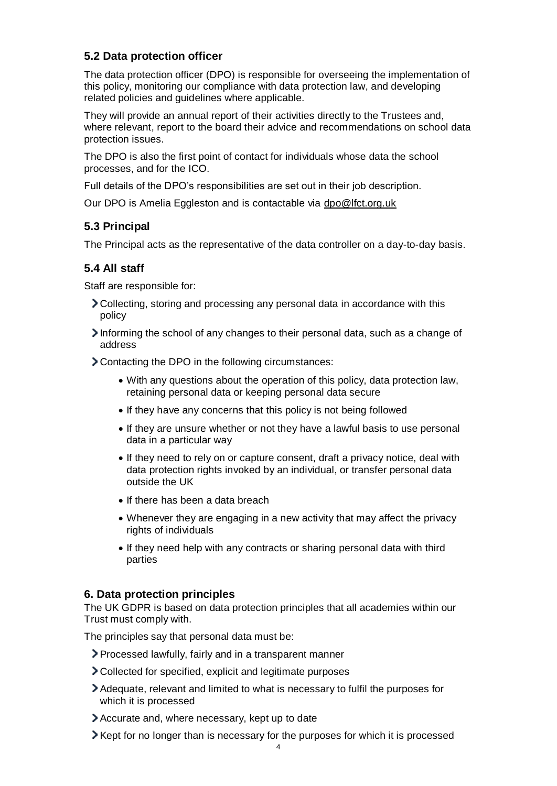# **5.2 Data protection officer**

The data protection officer (DPO) is responsible for overseeing the implementation of this policy, monitoring our compliance with data protection law, and developing related policies and guidelines where applicable.

They will provide an annual report of their activities directly to the Trustees and, where relevant, report to the board their advice and recommendations on school data protection issues.

The DPO is also the first point of contact for individuals whose data the school processes, and for the ICO.

Full details of the DPO's responsibilities are set out in their job description.

Our DPO is Amelia Eggleston and is contactable via [dpo@lfct.org.uk](mailto:dpo@lfct.org.uk)

### **5.3 Principal**

The Principal acts as the representative of the data controller on a day-to-day basis.

#### **5.4 All staff**

Staff are responsible for:

- Collecting, storing and processing any personal data in accordance with this policy
- Informing the school of any changes to their personal data, such as a change of address

Contacting the DPO in the following circumstances:

- With any questions about the operation of this policy, data protection law, retaining personal data or keeping personal data secure
- If they have any concerns that this policy is not being followed
- If they are unsure whether or not they have a lawful basis to use personal data in a particular way
- If they need to rely on or capture consent, draft a privacy notice, deal with data protection rights invoked by an individual, or transfer personal data outside the UK
- If there has been a data breach
- Whenever they are engaging in a new activity that may affect the privacy rights of individuals
- If they need help with any contracts or sharing personal data with third parties

#### <span id="page-4-0"></span>**6. Data protection principles**

The UK GDPR is based on data protection principles that all academies within our Trust must comply with.

The principles say that personal data must be:

- Processed lawfully, fairly and in a transparent manner
- Collected for specified, explicit and legitimate purposes
- Adequate, relevant and limited to what is necessary to fulfil the purposes for which it is processed
- Accurate and, where necessary, kept up to date
- **Xept for no longer than is necessary for the purposes for which it is processed**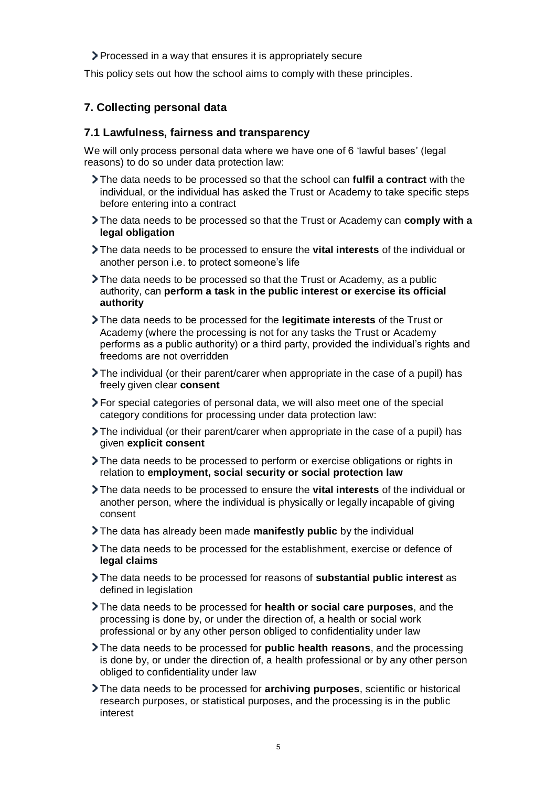Processed in a way that ensures it is appropriately secure

This policy sets out how the school aims to comply with these principles.

### <span id="page-5-0"></span>**7. Collecting personal data**

#### **7.1 Lawfulness, fairness and transparency**

We will only process personal data where we have one of 6 'lawful bases' (legal reasons) to do so under data protection law:

- The data needs to be processed so that the school can **fulfil a contract** with the individual, or the individual has asked the Trust or Academy to take specific steps before entering into a contract
- The data needs to be processed so that the Trust or Academy can **comply with a legal obligation**
- The data needs to be processed to ensure the **vital interests** of the individual or another person i.e. to protect someone's life
- The data needs to be processed so that the Trust or Academy, as a public authority, can **perform a task in the public interest or exercise its official authority**
- The data needs to be processed for the **legitimate interests** of the Trust or Academy (where the processing is not for any tasks the Trust or Academy performs as a public authority) or a third party, provided the individual's rights and freedoms are not overridden
- The individual (or their parent/carer when appropriate in the case of a pupil) has freely given clear **consent**
- For special categories of personal data, we will also meet one of the special category conditions for processing under data protection law:
- The individual (or their parent/carer when appropriate in the case of a pupil) has given **explicit consent**
- The data needs to be processed to perform or exercise obligations or rights in relation to **employment, social security or social protection law**
- The data needs to be processed to ensure the **vital interests** of the individual or another person, where the individual is physically or legally incapable of giving consent
- The data has already been made **manifestly public** by the individual
- The data needs to be processed for the establishment, exercise or defence of **legal claims**
- The data needs to be processed for reasons of **substantial public interest** as defined in legislation
- The data needs to be processed for **health or social care purposes**, and the processing is done by, or under the direction of, a health or social work professional or by any other person obliged to confidentiality under law
- The data needs to be processed for **public health reasons**, and the processing is done by, or under the direction of, a health professional or by any other person obliged to confidentiality under law
- The data needs to be processed for **archiving purposes**, scientific or historical research purposes, or statistical purposes, and the processing is in the public interest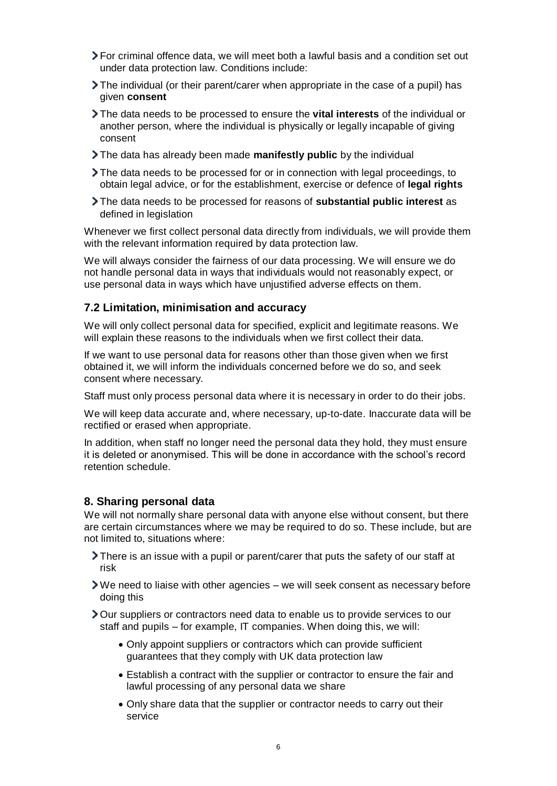- For criminal offence data, we will meet both a lawful basis and a condition set out under data protection law. Conditions include:
- The individual (or their parent/carer when appropriate in the case of a pupil) has given **consent**
- The data needs to be processed to ensure the **vital interests** of the individual or another person, where the individual is physically or legally incapable of giving consent
- The data has already been made **manifestly public** by the individual
- The data needs to be processed for or in connection with legal proceedings, to obtain legal advice, or for the establishment, exercise or defence of **legal rights**
- The data needs to be processed for reasons of **substantial public interest** as defined in legislation

Whenever we first collect personal data directly from individuals, we will provide them with the relevant information required by data protection law.

We will always consider the fairness of our data processing. We will ensure we do not handle personal data in ways that individuals would not reasonably expect, or use personal data in ways which have unjustified adverse effects on them.

#### **7.2 Limitation, minimisation and accuracy**

We will only collect personal data for specified, explicit and legitimate reasons. We will explain these reasons to the individuals when we first collect their data.

If we want to use personal data for reasons other than those given when we first obtained it, we will inform the individuals concerned before we do so, and seek consent where necessary.

Staff must only process personal data where it is necessary in order to do their jobs.

We will keep data accurate and, where necessary, up-to-date. Inaccurate data will be rectified or erased when appropriate.

In addition, when staff no longer need the personal data they hold, they must ensure it is deleted or anonymised. This will be done in accordance with the school's record retention schedule.

#### <span id="page-6-0"></span>**8. Sharing personal data**

We will not normally share personal data with anyone else without consent, but there are certain circumstances where we may be required to do so. These include, but are not limited to, situations where:

- There is an issue with a pupil or parent/carer that puts the safety of our staff at risk
- We need to liaise with other agencies we will seek consent as necessary before doing this

Our suppliers or contractors need data to enable us to provide services to our staff and pupils – for example, IT companies. When doing this, we will:

- Only appoint suppliers or contractors which can provide sufficient guarantees that they comply with UK data protection law
- Establish a contract with the supplier or contractor to ensure the fair and lawful processing of any personal data we share
- Only share data that the supplier or contractor needs to carry out their service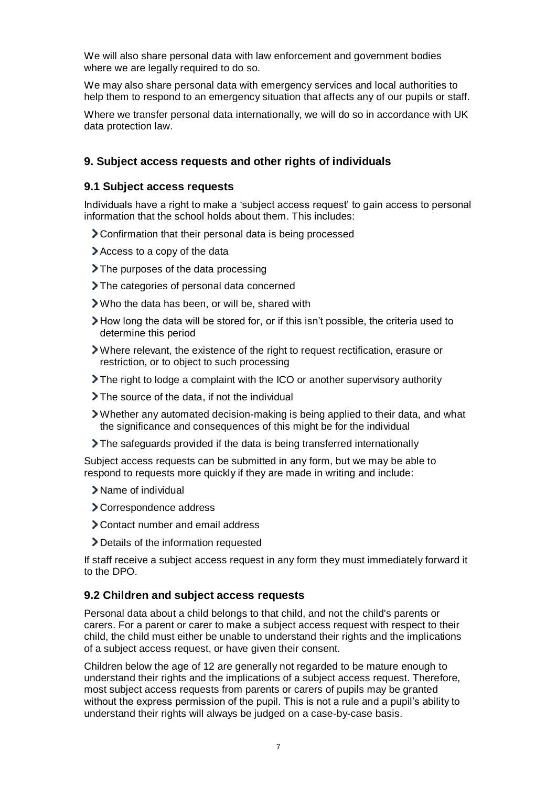We will also share personal data with law enforcement and government bodies where we are legally required to do so.

We may also share personal data with emergency services and local authorities to help them to respond to an emergency situation that affects any of our pupils or staff.

Where we transfer personal data internationally, we will do so in accordance with UK data protection law.

### <span id="page-7-0"></span>**9. Subject access requests and other rights of individuals**

#### **9.1 Subject access requests**

Individuals have a right to make a 'subject access request' to gain access to personal information that the school holds about them. This includes:

- Confirmation that their personal data is being processed
- Access to a copy of the data
- > The purposes of the data processing
- > The categories of personal data concerned
- Who the data has been, or will be, shared with
- How long the data will be stored for, or if this isn't possible, the criteria used to determine this period
- Where relevant, the existence of the right to request rectification, erasure or restriction, or to object to such processing
- The right to lodge a complaint with the ICO or another supervisory authority
- > The source of the data, if not the individual
- Whether any automated decision-making is being applied to their data, and what the significance and consequences of this might be for the individual
- The safeguards provided if the data is being transferred internationally

Subject access requests can be submitted in any form, but we may be able to respond to requests more quickly if they are made in writing and include:

- > Name of individual
- Correspondence address
- Contact number and email address
- Details of the information requested

If staff receive a subject access request in any form they must immediately forward it to the DPO.

#### **9.2 Children and subject access requests**

Personal data about a child belongs to that child, and not the child's parents or carers. For a parent or carer to make a subject access request with respect to their child, the child must either be unable to understand their rights and the implications of a subject access request, or have given their consent.

Children below the age of 12 are generally not regarded to be mature enough to understand their rights and the implications of a subject access request. Therefore, most subject access requests from parents or carers of pupils may be granted without the express permission of the pupil. This is not a rule and a pupil's ability to understand their rights will always be judged on a case-by-case basis.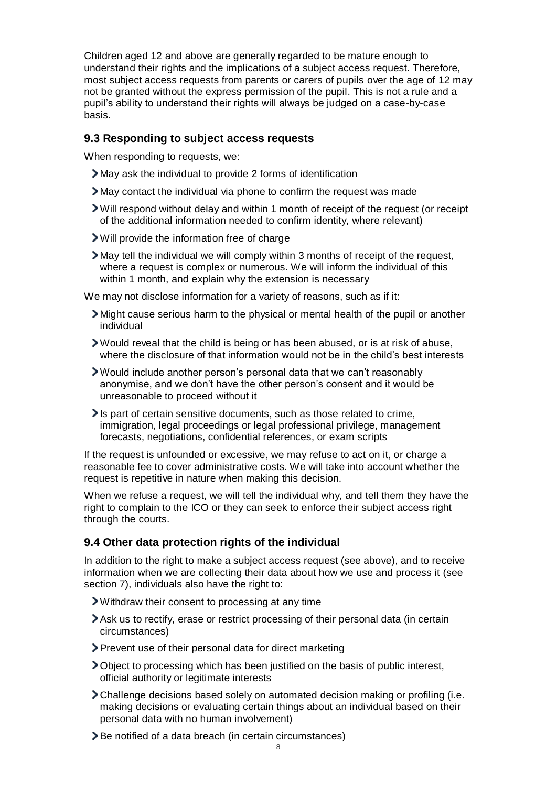Children aged 12 and above are generally regarded to be mature enough to understand their rights and the implications of a subject access request. Therefore, most subject access requests from parents or carers of pupils over the age of 12 may not be granted without the express permission of the pupil. This is not a rule and a pupil's ability to understand their rights will always be judged on a case-by-case basis.

#### **9.3 Responding to subject access requests**

When responding to requests, we:

- May ask the individual to provide 2 forms of identification
- May contact the individual via phone to confirm the request was made
- Will respond without delay and within 1 month of receipt of the request (or receipt of the additional information needed to confirm identity, where relevant)
- Will provide the information free of charge

May tell the individual we will comply within 3 months of receipt of the request, where a request is complex or numerous. We will inform the individual of this within 1 month, and explain why the extension is necessary

We may not disclose information for a variety of reasons, such as if it:

- Might cause serious harm to the physical or mental health of the pupil or another individual
- Would reveal that the child is being or has been abused, or is at risk of abuse, where the disclosure of that information would not be in the child's best interests
- Would include another person's personal data that we can't reasonably anonymise, and we don't have the other person's consent and it would be unreasonable to proceed without it
- Is part of certain sensitive documents, such as those related to crime, immigration, legal proceedings or legal professional privilege, management forecasts, negotiations, confidential references, or exam scripts

If the request is unfounded or excessive, we may refuse to act on it, or charge a reasonable fee to cover administrative costs. We will take into account whether the request is repetitive in nature when making this decision.

When we refuse a request, we will tell the individual why, and tell them they have the right to complain to the ICO or they can seek to enforce their subject access right through the courts.

### **9.4 Other data protection rights of the individual**

In addition to the right to make a subject access request (see above), and to receive information when we are collecting their data about how we use and process it (see section 7), individuals also have the right to:

- Withdraw their consent to processing at any time
- Ask us to rectify, erase or restrict processing of their personal data (in certain circumstances)
- Prevent use of their personal data for direct marketing
- Object to processing which has been justified on the basis of public interest, official authority or legitimate interests
- Challenge decisions based solely on automated decision making or profiling (i.e. making decisions or evaluating certain things about an individual based on their personal data with no human involvement)
- Be notified of a data breach (in certain circumstances)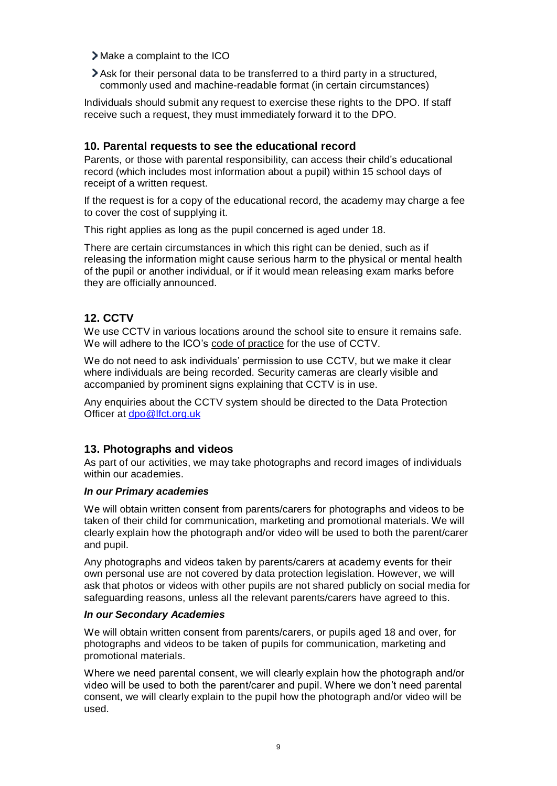Make a complaint to the ICO

Ask for their personal data to be transferred to a third party in a structured, commonly used and machine-readable format (in certain circumstances)

Individuals should submit any request to exercise these rights to the DPO. If staff receive such a request, they must immediately forward it to the DPO.

#### <span id="page-9-0"></span>**10. Parental requests to see the educational record**

Parents, or those with parental responsibility, can access their child's educational record (which includes most information about a pupil) within 15 school days of receipt of a written request.

If the request is for a copy of the educational record, the academy may charge a fee to cover the cost of supplying it.

This right applies as long as the pupil concerned is aged under 18.

There are certain circumstances in which this right can be denied, such as if releasing the information might cause serious harm to the physical or mental health of the pupil or another individual, or if it would mean releasing exam marks before they are officially announced.

# <span id="page-9-1"></span>**12. CCTV**

We use CCTV in various locations around the school site to ensure it remains safe. We will adhere to the ICO's [code of practice](https://ico.org.uk/media/for-organisations/documents/1542/cctv-code-of-practice.pdf) for the use of CCTV.

We do not need to ask individuals' permission to use CCTV, but we make it clear where individuals are being recorded. Security cameras are clearly visible and accompanied by prominent signs explaining that CCTV is in use.

Any enquiries about the CCTV system should be directed to the Data Protection Officer at [dpo@lfct.org.uk](mailto:dpo@lfct.org.uk)

### <span id="page-9-2"></span>**13. Photographs and videos**

As part of our activities, we may take photographs and record images of individuals within our academies.

#### *In our Primary academies*

We will obtain written consent from parents/carers for photographs and videos to be taken of their child for communication, marketing and promotional materials. We will clearly explain how the photograph and/or video will be used to both the parent/carer and pupil.

Any photographs and videos taken by parents/carers at academy events for their own personal use are not covered by data protection legislation. However, we will ask that photos or videos with other pupils are not shared publicly on social media for safeguarding reasons, unless all the relevant parents/carers have agreed to this.

#### *In our Secondary Academies*

We will obtain written consent from parents/carers, or pupils aged 18 and over, for photographs and videos to be taken of pupils for communication, marketing and promotional materials.

Where we need parental consent, we will clearly explain how the photograph and/or video will be used to both the parent/carer and pupil. Where we don't need parental consent, we will clearly explain to the pupil how the photograph and/or video will be used.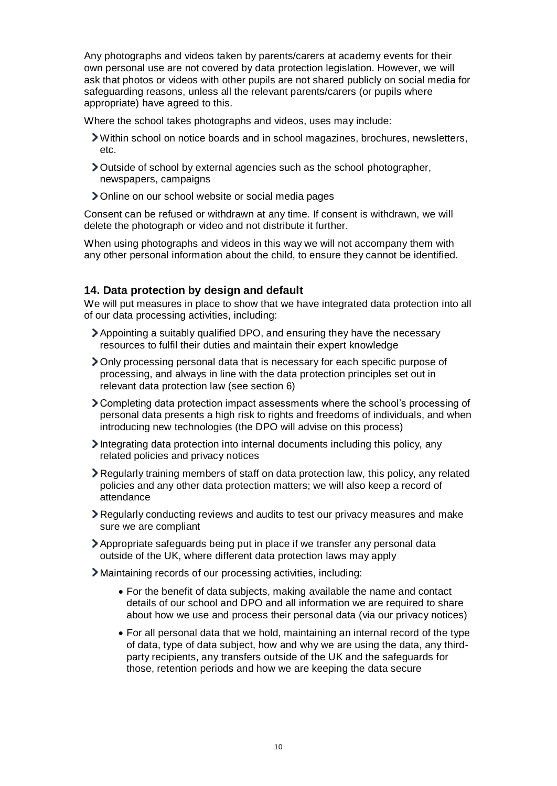Any photographs and videos taken by parents/carers at academy events for their own personal use are not covered by data protection legislation. However, we will ask that photos or videos with other pupils are not shared publicly on social media for safeguarding reasons, unless all the relevant parents/carers (or pupils where appropriate) have agreed to this.

Where the school takes photographs and videos, uses may include:

- Within school on notice boards and in school magazines, brochures, newsletters, etc.
- Outside of school by external agencies such as the school photographer, newspapers, campaigns
- Online on our school website or social media pages

Consent can be refused or withdrawn at any time. If consent is withdrawn, we will delete the photograph or video and not distribute it further.

When using photographs and videos in this way we will not accompany them with any other personal information about the child, to ensure they cannot be identified.

### <span id="page-10-0"></span>**14. Data protection by design and default**

We will put measures in place to show that we have integrated data protection into all of our data processing activities, including:

- Appointing a suitably qualified DPO, and ensuring they have the necessary resources to fulfil their duties and maintain their expert knowledge
- Only processing personal data that is necessary for each specific purpose of processing, and always in line with the data protection principles set out in relevant data protection law (see section 6)
- Completing data protection impact assessments where the school's processing of personal data presents a high risk to rights and freedoms of individuals, and when introducing new technologies (the DPO will advise on this process)
- Integrating data protection into internal documents including this policy, any related policies and privacy notices
- Regularly training members of staff on data protection law, this policy, any related policies and any other data protection matters; we will also keep a record of attendance
- Regularly conducting reviews and audits to test our privacy measures and make sure we are compliant
- Appropriate safeguards being put in place if we transfer any personal data outside of the UK, where different data protection laws may apply
- Maintaining records of our processing activities, including:
	- For the benefit of data subjects, making available the name and contact details of our school and DPO and all information we are required to share about how we use and process their personal data (via our privacy notices)
	- For all personal data that we hold, maintaining an internal record of the type of data, type of data subject, how and why we are using the data, any thirdparty recipients, any transfers outside of the UK and the safeguards for those, retention periods and how we are keeping the data secure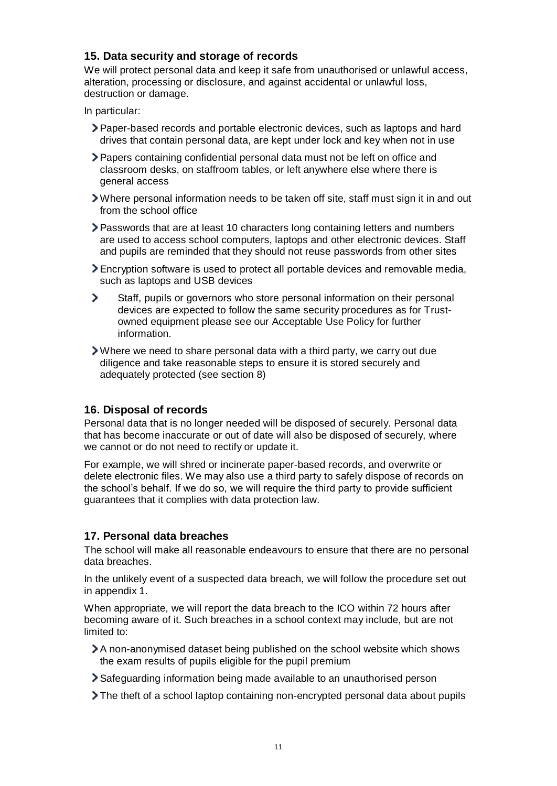### <span id="page-11-0"></span>**15. Data security and storage of records**

We will protect personal data and keep it safe from unauthorised or unlawful access, alteration, processing or disclosure, and against accidental or unlawful loss, destruction or damage.

In particular:

- Paper-based records and portable electronic devices, such as laptops and hard drives that contain personal data, are kept under lock and key when not in use
- Papers containing confidential personal data must not be left on office and classroom desks, on staffroom tables, or left anywhere else where there is general access
- Where personal information needs to be taken off site, staff must sign it in and out from the school office
- Passwords that are at least 10 characters long containing letters and numbers are used to access school computers, laptops and other electronic devices. Staff and pupils are reminded that they should not reuse passwords from other sites
- Encryption software is used to protect all portable devices and removable media, such as laptops and USB devices
- $\overline{ }$ Staff, pupils or governors who store personal information on their personal devices are expected to follow the same security procedures as for Trustowned equipment please see our Acceptable Use Policy for further information.
- Where we need to share personal data with a third party, we carry out due diligence and take reasonable steps to ensure it is stored securely and adequately protected (see section 8)

### <span id="page-11-1"></span>**16. Disposal of records**

Personal data that is no longer needed will be disposed of securely. Personal data that has become inaccurate or out of date will also be disposed of securely, where we cannot or do not need to rectify or update it.

For example, we will shred or incinerate paper-based records, and overwrite or delete electronic files. We may also use a third party to safely dispose of records on the school's behalf. If we do so, we will require the third party to provide sufficient guarantees that it complies with data protection law.

### <span id="page-11-2"></span>**17. Personal data breaches**

The school will make all reasonable endeavours to ensure that there are no personal data breaches.

In the unlikely event of a suspected data breach, we will follow the procedure set out in appendix 1.

When appropriate, we will report the data breach to the ICO within 72 hours after becoming aware of it. Such breaches in a school context may include, but are not limited to:

- A non-anonymised dataset being published on the school website which shows the exam results of pupils eligible for the pupil premium
- Safeguarding information being made available to an unauthorised person
- The theft of a school laptop containing non-encrypted personal data about pupils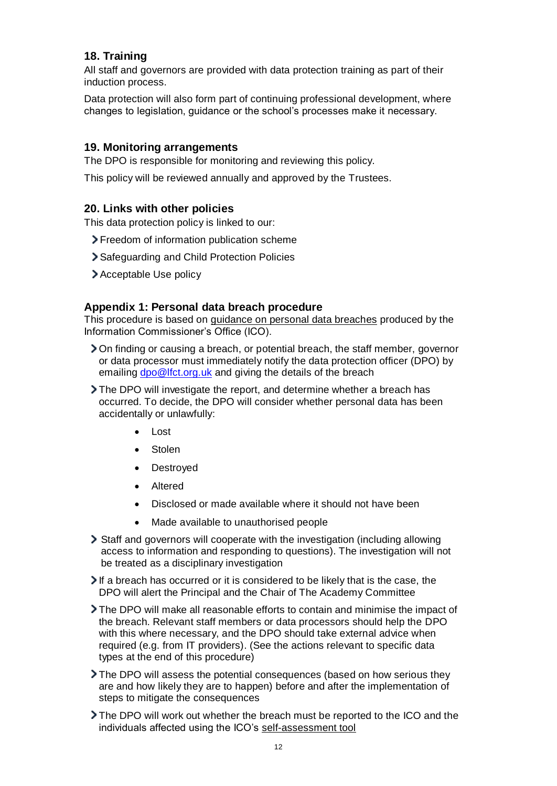# <span id="page-12-0"></span>**18. Training**

All staff and governors are provided with data protection training as part of their induction process.

Data protection will also form part of continuing professional development, where changes to legislation, guidance or the school's processes make it necessary.

#### <span id="page-12-1"></span>**19. Monitoring arrangements**

The DPO is responsible for monitoring and reviewing this policy.

This policy will be reviewed annually and approved by the Trustees.

#### <span id="page-12-2"></span>**20. Links with other policies**

This data protection policy is linked to our:

- Freedom of information publication scheme
- Safeguarding and Child Protection Policies
- Acceptable Use policy

#### <span id="page-12-3"></span>**Appendix 1: Personal data breach procedure**

This procedure is based on [guidance on personal data breaches](https://ico.org.uk/for-organisations/guide-to-the-general-data-protection-regulation-gdpr/personal-data-breaches/) produced by the Information Commissioner's Office (ICO).

- On finding or causing a breach, or potential breach, the staff member, governor or data processor must immediately notify the data protection officer (DPO) by emailin[g dpo@lfct.org.uk](mailto:dpo@lfct.org.uk) and giving the details of the breach
- The DPO will investigate the report, and determine whether a breach has occurred. To decide, the DPO will consider whether personal data has been accidentally or unlawfully:
	- Lost
	- **Stolen**
	- Destroyed
	- Altered
	- Disclosed or made available where it should not have been
	- Made available to unauthorised people
- Staff and governors will cooperate with the investigation (including allowing access to information and responding to questions). The investigation will not be treated as a disciplinary investigation
- If a breach has occurred or it is considered to be likely that is the case, the DPO will alert the Principal and the Chair of The Academy Committee
- The DPO will make all reasonable efforts to contain and minimise the impact of the breach. Relevant staff members or data processors should help the DPO with this where necessary, and the DPO should take external advice when required (e.g. from IT providers). (See the actions relevant to specific data types at the end of this procedure)
- The DPO will assess the potential consequences (based on how serious they are and how likely they are to happen) before and after the implementation of steps to mitigate the consequences
- The DPO will work out whether the breach must be reported to the ICO and the individuals affected using the ICO's [self-assessment tool](https://ico.org.uk/for-organisations/report-a-breach/personal-data-breach-assessment/)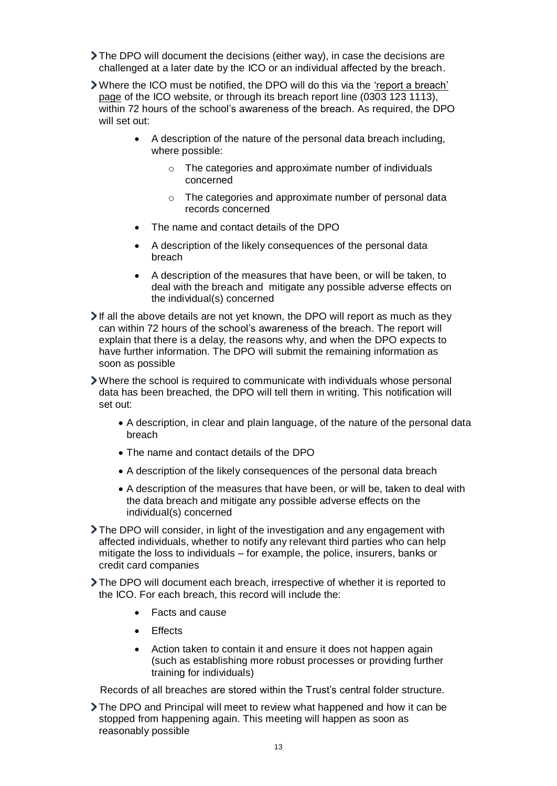- The DPO will document the decisions (either way), in case the decisions are challenged at a later date by the ICO or an individual affected by the breach.
- Where the ICO must be notified, the DPO will do this via the ['report a breach'](https://ico.org.uk/for-organisations/report-a-breach/)  [page](https://ico.org.uk/for-organisations/report-a-breach/) of the ICO website, or through its breach report line (0303 123 1113), within 72 hours of the school's awareness of the breach. As required, the DPO will set out:
	- A description of the nature of the personal data breach including, where possible:
		- o The categories and approximate number of individuals concerned
		- o The categories and approximate number of personal data records concerned
	- The name and contact details of the DPO
	- A description of the likely consequences of the personal data breach
	- A description of the measures that have been, or will be taken, to deal with the breach and mitigate any possible adverse effects on the individual(s) concerned
- If all the above details are not yet known, the DPO will report as much as they can within 72 hours of the school's awareness of the breach. The report will explain that there is a delay, the reasons why, and when the DPO expects to have further information. The DPO will submit the remaining information as soon as possible
- Where the school is required to communicate with individuals whose personal data has been breached, the DPO will tell them in writing. This notification will set out:
	- A description, in clear and plain language, of the nature of the personal data breach
	- The name and contact details of the DPO
	- A description of the likely consequences of the personal data breach
	- A description of the measures that have been, or will be, taken to deal with the data breach and mitigate any possible adverse effects on the individual(s) concerned
- The DPO will consider, in light of the investigation and any engagement with affected individuals, whether to notify any relevant third parties who can help mitigate the loss to individuals – for example, the police, insurers, banks or credit card companies
- The DPO will document each breach, irrespective of whether it is reported to the ICO. For each breach, this record will include the:
	- Facts and cause
	- **Effects**
	- Action taken to contain it and ensure it does not happen again (such as establishing more robust processes or providing further training for individuals)

Records of all breaches are stored within the Trust's central folder structure.

The DPO and Principal will meet to review what happened and how it can be stopped from happening again. This meeting will happen as soon as reasonably possible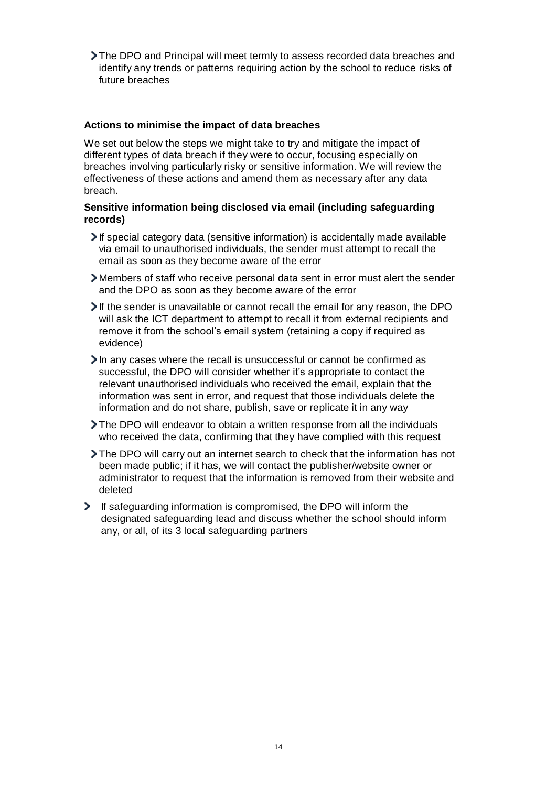The DPO and Principal will meet termly to assess recorded data breaches and identify any trends or patterns requiring action by the school to reduce risks of future breaches

#### **Actions to minimise the impact of data breaches**

We set out below the steps we might take to try and mitigate the impact of different types of data breach if they were to occur, focusing especially on breaches involving particularly risky or sensitive information. We will review the effectiveness of these actions and amend them as necessary after any data breach.

#### **Sensitive information being disclosed via email (including safeguarding records)**

- If special category data (sensitive information) is accidentally made available via email to unauthorised individuals, the sender must attempt to recall the email as soon as they become aware of the error
- Members of staff who receive personal data sent in error must alert the sender and the DPO as soon as they become aware of the error
- If the sender is unavailable or cannot recall the email for any reason, the DPO will ask the ICT department to attempt to recall it from external recipients and remove it from the school's email system (retaining a copy if required as evidence)
- In any cases where the recall is unsuccessful or cannot be confirmed as successful, the DPO will consider whether it's appropriate to contact the relevant unauthorised individuals who received the email, explain that the information was sent in error, and request that those individuals delete the information and do not share, publish, save or replicate it in any way
- The DPO will endeavor to obtain a written response from all the individuals who received the data, confirming that they have complied with this request
- The DPO will carry out an internet search to check that the information has not been made public; if it has, we will contact the publisher/website owner or administrator to request that the information is removed from their website and deleted
- If safeguarding information is compromised, the DPO will inform the designated safeguarding lead and discuss whether the school should inform any, or all, of its 3 local safeguarding partners